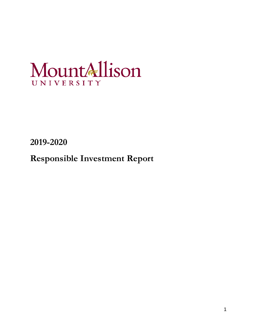# MountAllison UNIVERSITY

**2019-2020**

**Responsible Investment Report**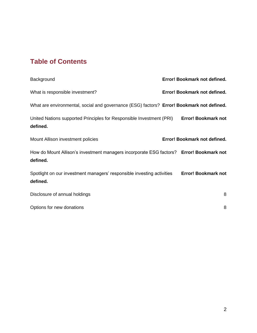## **Table of Contents**

| Background                                                                                          | Error! Bookmark not defined. |
|-----------------------------------------------------------------------------------------------------|------------------------------|
| What is responsible investment?                                                                     | Error! Bookmark not defined. |
| What are environmental, social and governance (ESG) factors? Error! Bookmark not defined.           |                              |
| United Nations supported Principles for Responsible Investment (PRI)<br>defined.                    | <b>Error! Bookmark not</b>   |
| Mount Allison investment policies                                                                   | Error! Bookmark not defined. |
| How do Mount Allison's investment managers incorporate ESG factors? Error! Bookmark not<br>defined. |                              |
| Spotlight on our investment managers' responsible investing activities<br>defined.                  | <b>Error! Bookmark not</b>   |
| Disclosure of annual holdings                                                                       | 8                            |
| Options for new donations                                                                           | 8                            |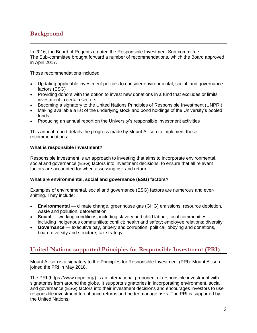## **Background**

In 2016, the Board of Regents created the Responsible Investment Sub-committee. The Sub-committee brought forward a number of recommendations, which the Board approved in April 2017.

Those recommendations included:

- Updating applicable investment policies to consider environmental, social, and governance factors (ESG)
- Providing donors with the option to invest new donations in a fund that excludes or limits investment in certain sectors
- Becoming a signatory to the United Nations Principles of Responsible Investment (UNPRI)
- Making available a list of the underlying stock and bond holdings of the University's pooled funds
- Producing an annual report on the University's responsible investment activities

This annual report details the progress made by Mount Allison to implement these recommendations.

#### **What is responsible investment?**

Responsible investment is an approach to investing that aims to incorporate environmental, social and governance (ESG) factors into investment decisions, to ensure that all relevant factors are accounted for when assessing risk and return.

#### **What are environmental, social and governance (ESG) factors?**

Examples of environmental, social and governance (ESG) factors are numerous and evershifting. They include:

- **Environmental** climate change, greenhouse gas (GHG) emissions, resource depletion, waste and pollution, deforestation
- **Social** working conditions, including slavery and child labour; local communities, including Indigenous communities; conflict; health and safety; employee relations; diversity
- **Governance** executive pay, bribery and corruption, political lobbying and donations, board diversity and structure, tax strategy

## **United Nations supported Principles for Responsible Investment (PRI)**

Mount Allison is a signatory to the Principles for Responsible Investment (PRI). Mount Allison joined the PRI in May 2018.

The PRI [\(https://www.unpri.org/\)](https://www.unpri.org/) is an international proponent of responsible investment with signatories from around the globe. It supports signatories in incorporating environment, social, and governance (ESG) factors into their investment decisions and encourages investors to use responsible investment to enhance returns and better manage risks. The PRI is supported by the United Nations.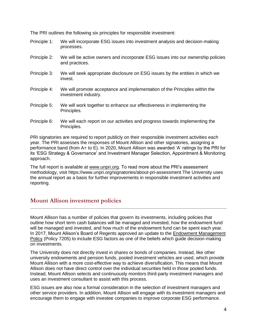The PRI outlines the following six principles for responsible investment:

- Principle 1: We will incorporate ESG issues into investment analysis and decision-making processes.
- Principle 2: We will be active owners and incorporate ESG issues into our ownership policies and practices.
- Principle 3: We will seek appropriate disclosure on ESG issues by the entities in which we invest.
- Principle 4: We will promote acceptance and implementation of the Principles within the investment industry.
- Principle 5: We will work together to enhance our effectiveness in implementing the Principles.
- Principle 6: We will each report on our activities and progress towards implementing the Principles.

PRI signatories are required to report publicly on their responsible investment activities each year. The PRI assesses the responses of Mount Allison and other signatories, assigning a performance band (from A+ to E). In 2020, Mount Allison was awarded 'A' ratings by the PRI for its 'ESG Strategy & Governance' and Investment Manager Selection, Appointment & Monitoring approach.

The full report is available at [www.unpri.org.](https://reporting.unpri.org/surveys/PRI-reporting-framework-2019/9C9782E8-A471-4C31-A8BA-E4F59CEC33FB/79894dbc337a40828d895f9402aa63de/html/2/?lang=en&a=1) To read more about the PRI's assessment methodology, visit https://www.unpri.org/signatories/about-pri-assessment The University uses the annual report as a basis for further improvements in responsible investment activities and reporting.

## **Mount Allison investment policies**

Mount Allison has a number of policies that govern its investments, including policies that outline how short term cash balances will be managed and invested, how the endowment fund will be managed and invested, and how much of the endowment fund can be spent each year. In 2017, Mount Allison's Board of Regents approved an update to the [Endowment Management](https://www.mta.ca/governance/policy7205/)  [Policy](https://www.mta.ca/governance/policy7205/) (Policy 7205) to include ESG factors as one of the beliefs which guide decision-making on investments.

The University does not directly invest in shares or bonds of companies. Instead, like other university endowments and pension funds, pooled investment vehicles are used, which provide Mount Allison with a more cost-effective way to achieve diversification. This means that Mount Allison does not have direct control over the individual securities held in those pooled funds. Instead, Mount Allison selects and continuously monitors third-party investment managers and uses an investment consultant to assist with this process.

ESG issues are also now a formal consideration in the selection of investment managers and other service providers. In addition, Mount Allison will engage with its investment managers and encourage them to engage with investee companies to improve corporate ESG performance.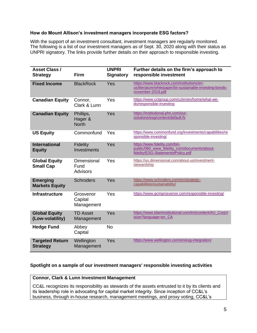#### **How do Mount Allison's investment managers incorporate ESG factors?**

With the support of an investment consultant, investment managers are regularly monitored. The following is a list of our investment managers as of Sept. 30, 2020 along with their status as UNPRI signatory. The links provide further details on their approach to responsible investing.

| <b>Asset Class /</b><br><b>Strategy</b>   | <b>Firm</b>                          | <b>UNPRI</b><br><b>Signatory</b> | Further details on the firm's approach to<br>responsible investment                                                          |
|-------------------------------------------|--------------------------------------|----------------------------------|------------------------------------------------------------------------------------------------------------------------------|
| <b>Fixed Income</b>                       | <b>BlackRock</b>                     | Yes                              | https://www.blackrock.com/institutions/en-<br>us/literature/whitepaper/bii-sustainable-investing-bonds-<br>november-2019.pdf |
| <b>Canadian Equity</b>                    | Connor,<br>Clark & Lunn              | Yes                              | https://www.cclgroup.com/cclim/en/home/what-we-<br>do/responsible-investing                                                  |
| <b>Canadian Equity</b>                    | Phillips,<br>Hager &<br><b>North</b> | Yes                              | https://institutional.phn.com/our-<br>solutions/esg/content/default.fs                                                       |
| <b>US Equity</b>                          | Commonfund                           | Yes                              | https://www.commonfund.org/investments/capabilities/re<br>sponsible-investing/                                               |
| <b>International</b><br><b>Equity</b>     | <b>Fidelity</b><br>Investments       | Yes                              | https://www.fidelity.com/bin-<br>public/060_www_fidelity_com/documents/about-<br>fidelity/ESG-StatementofPolicy.pdf          |
| <b>Global Equity</b><br><b>Small Cap</b>  | Dimensional<br>Fund<br>Advisors      | Yes                              | https://us.dimensional.com/about-us/investment-<br>stewardship                                                               |
| <b>Emerging</b><br><b>Markets Equity</b>  | <b>Schroders</b>                     | Yes                              | https://www.schroders.com/en/strategic-<br>capabilities/sustainability/                                                      |
| <b>Infrastructure</b>                     | Grosvenor<br>Capital<br>Management   | Yes                              | https://www.gcmgrosvenor.com/responsible-investing/                                                                          |
| <b>Global Equity</b><br>(Low-volatility)  | <b>TD Asset</b><br>Management        | Yes                              | https://www.tdaminstitutional.com/tmi/content/AU_CorpV<br>ision?language=en CA                                               |
| <b>Hedge Fund</b>                         | Abbey<br>Capital                     | <b>No</b>                        |                                                                                                                              |
| <b>Targeted Return</b><br><b>Strategy</b> | Wellington<br>Management             | Yes                              | https://www.wellington.com/en/esg-integration/                                                                               |

#### **Spotlight on a sample of our investment managers' responsible investing activities**

#### **Connor, Clark & Lunn Investment Management**

CC&L recognizes its responsibility as stewards of the assets entrusted to it by its clients and its leadership role in advocating for capital market integrity. Since inception of CC&L's business, through in-house research, management meetings, and proxy voting, CC&L's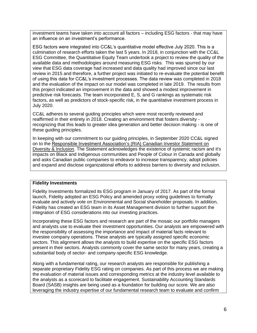investment teams have taken into account all factors – including ESG factors - that may have an influence on an investment's performance.

ESG factors were integrated into CC&L's quantitative model effective July 2020. This is a culmination of research efforts taken the last 5 years. In 2018, in conjunction with the CC&L ESG Committee, the Quantitative Equity Team undertook a project to review the quality of the available data and methodologies around measuring ESG risks. This was spurred by our view that ESG data coverage had increased and data quality had improved since our last review in 2015 and therefore, a further project was initiated to re-evaluate the potential benefit of using this data for CC&L's investment processes. The data review was completed in 2018 and the evaluation of the impact on our model was completed in late 2019. The results from this project indicated an improvement in the data and showed a modest improvement in predictive risk forecasts. The team incorporated E, S, and G rankings as systematic risk factors, as well as predictors of stock-specific risk, in the quantitative investment process in July 2020.

CC&L adheres to several guiding principles which were most recently reviewed and reaffirmed in their entirety in 2018. Creating an environment that fosters diversity recognizing that this leads to greater idea generation and better decision making - is one of these guiding principles.

In keeping with our commitment to our guiding principles, in September 2020 CC&L signed on to the [Responsible Investment Association's \(RIA\) Canadian Investor Statement on](https://www.businesswire.com/news/home/20201001005261/en/Canadian-Investors-Representing-2.3-Trillion-Pledge-to-Promote-Diversity-Inclusion-in-Their-Portfolios-and-Institutions_)  [Diversity & Inclusion.](https://www.businesswire.com/news/home/20201001005261/en/Canadian-Investors-Representing-2.3-Trillion-Pledge-to-Promote-Diversity-Inclusion-in-Their-Portfolios-and-Institutions_) The Statement acknowledges the existence of systemic racism and it's impacts on Black and Indigenous communities and People of Colour in Canada and globally and asks Canadian public companies to endeavor to increase transparency, adopt policies and expand and disclose organizational efforts to address barriers to diversity and inclusion.

#### **Fidelity Investments**

Fidelity Investments formalized its ESG program in January of 2017. As part of the formal launch, Fidelity adopted an ESG Policy and amended proxy voting guidelines to formally evaluate and actively vote on Environmental and Social shareholder proposals. In addition, Fidelity has created an ESG team in its Asset Management division to further support the integration of ESG considerations into our investing practices.

Incorporating these ESG factors and research are part of the mosaic our portfolio managers and analysts use to evaluate their investment opportunities. Our analysts are empowered with the responsibility of assessing the importance and impact of material facts relevant to investee company operations. These analysts are typically assigned specific economic sectors. This alignment allows the analysts to build expertise on the specific ESG factors present in their sectors. Analysts commonly cover the same sector for many years, creating a substantial body of sector- and company-specific ESG knowledge.

Along with a fundamental rating, our research analysts are responsible for publishing a separate proprietary Fidelity ESG rating on companies. As part of this process we are making the evaluation of material issues and corresponding metrics at the industry level available to the analysts as a scorecard to facilitate engagement. Sustainability Accounting Standards Board (SASB) insights are being used as a foundation for building our score. We are also leveraging the industry expertise of our fundamental research team to evaluate and confirm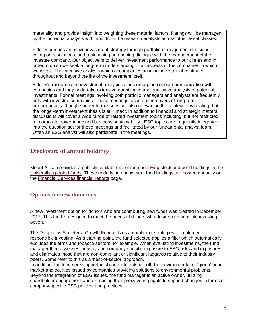materiality and provide insight into weighting these material factors. Ratings will be managed by the individual analysts with input from the research analysts across other asset classes.

Fidelity pursues an active investment strategy through portfolio management decisions, voting on resolutions, and maintaining an ongoing dialogue with the management of the investee company. Our objective is to deliver investment performance to our clients and in order to do so we seek a long-term understanding of all aspects of the companies in which we invest. The intensive analysis which accompanies an initial investment continues throughout and beyond the life of the investment itself.

Fidelity's research and investment analysis is the centerpiece of our communication with companies and they undertake extensive quantitative and qualitative analysis of potential investments. Formal meetings involving both portfolio managers and analysts are frequently held with investee companies. These meetings focus on the drivers of long-term performance, although shorter term issues are also relevant in the context of validating that the longer-term investment thesis is still intact. In addition to financial and strategic matters, discussions will cover a wide range of related investment topics including, but not restricted to, corporate governance and business sustainability. ESG topics are frequently integrated into the question set for these meetings and facilitated by our fundamental analyst team. Often an ESG analyst will also participate in the meetings.

## **Disclosure of annual holdings**

Mount Allison provides a [publicly-available list of the underlying stock and bond holdings in the](https://www.mta.ca/Community/Administrative_departments/Financial_Services/Financial_reports/Endowment_Fund_Holdings/Endowment_Fund_Holdings/)  [University's pooled funds.](https://www.mta.ca/Community/Administrative_departments/Financial_Services/Financial_reports/Endowment_Fund_Holdings/Endowment_Fund_Holdings/) These underlying endowment fund holdings are posted annually on the [Financial Services financial reports](https://www.mta.ca/Community/Administrative_departments/Financial_Services/Financial_reports/Financial_reports/) page.

### **Options for new donations**

A new investment option for donors who are contributing new funds was created in December 2017. This fund is designed to meet the needs of donors who desire a responsible investing option.

The [Desjardins Societerra Growth Fund](https://www.fondsdesjardins.com/funds/societerra/growth-portfolio/index.jsp) utilizes a number of strategies to implement responsible investing. As a starting point, the fund selected applies a filter which automatically excludes the arms and tobacco sectors, for example. When evaluating investments, the fund manager then assesses industry and company-specific exposure to ESG risks and exposures and eliminates those that are non-compliant or significant laggards relative to their industry peers. Some refer to this as a 'best-of-sector' approach.

In addition, the fund seeks opportunistic investments in both the environmental or 'green' bond market and equities issued by companies providing solutions to environmental problems. Beyond the integration of ESG issues, the fund manager is an active owner, utilizing shareholder engagement and exercising their proxy voting rights to support changes in terms of company-specific ESG policies and practices.